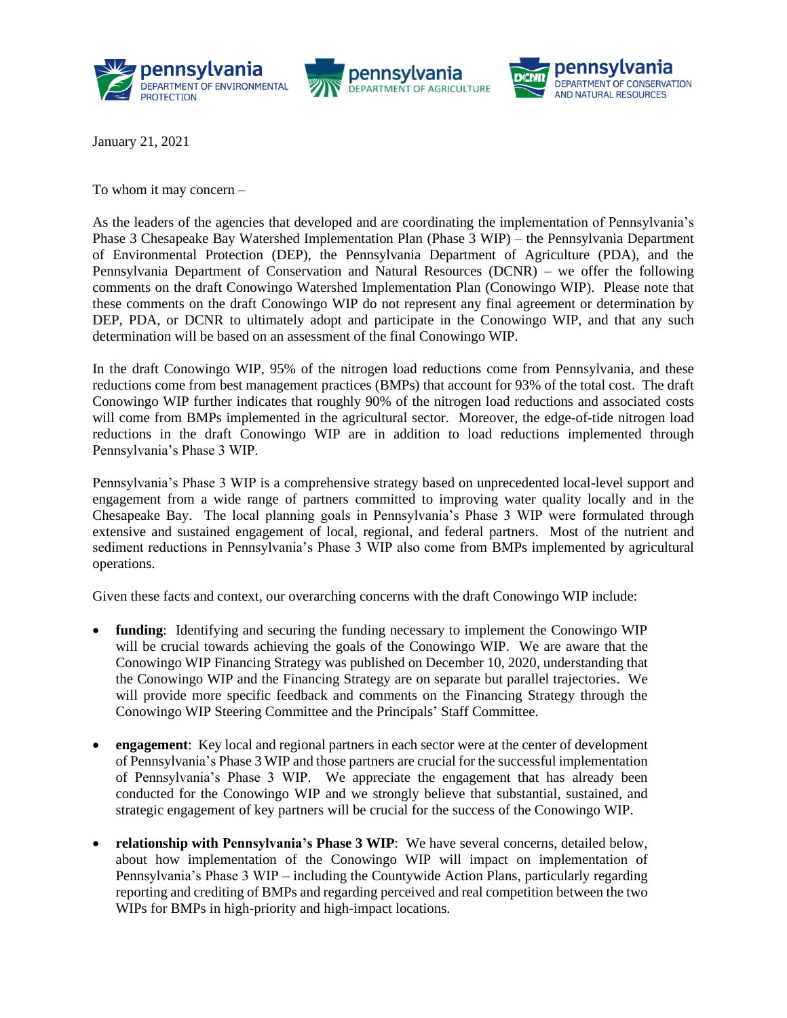





January 21, 2021

To whom it may concern –

As the leaders of the agencies that developed and are coordinating the implementation of Pennsylvania's Phase 3 Chesapeake Bay Watershed Implementation Plan (Phase 3 WIP) – the Pennsylvania Department of Environmental Protection (DEP), the Pennsylvania Department of Agriculture (PDA), and the Pennsylvania Department of Conservation and Natural Resources (DCNR) – we offer the following comments on the draft Conowingo Watershed Implementation Plan (Conowingo WIP). Please note that these comments on the draft Conowingo WIP do not represent any final agreement or determination by DEP, PDA, or DCNR to ultimately adopt and participate in the Conowingo WIP, and that any such determination will be based on an assessment of the final Conowingo WIP.

In the draft Conowingo WIP, 95% of the nitrogen load reductions come from Pennsylvania, and these reductions come from best management practices (BMPs) that account for 93% of the total cost. The draft Conowingo WIP further indicates that roughly 90% of the nitrogen load reductions and associated costs will come from BMPs implemented in the agricultural sector. Moreover, the edge-of-tide nitrogen load reductions in the draft Conowingo WIP are in addition to load reductions implemented through Pennsylvania's Phase 3 WIP.

Pennsylvania's Phase 3 WIP is a comprehensive strategy based on unprecedented local-level support and engagement from a wide range of partners committed to improving water quality locally and in the Chesapeake Bay. The local planning goals in Pennsylvania's Phase 3 WIP were formulated through extensive and sustained engagement of local, regional, and federal partners. Most of the nutrient and sediment reductions in Pennsylvania's Phase 3 WIP also come from BMPs implemented by agricultural operations.

Given these facts and context, our overarching concerns with the draft Conowingo WIP include:

- **funding**: Identifying and securing the funding necessary to implement the Conowingo WIP will be crucial towards achieving the goals of the Conowingo WIP. We are aware that the Conowingo WIP Financing Strategy was published on December 10, 2020, understanding that the Conowingo WIP and the Financing Strategy are on separate but parallel trajectories. We will provide more specific feedback and comments on the Financing Strategy through the Conowingo WIP Steering Committee and the Principals' Staff Committee.
- **engagement**: Key local and regional partners in each sector were at the center of development of Pennsylvania's Phase 3 WIP and those partners are crucial for the successful implementation of Pennsylvania's Phase 3 WIP. We appreciate the engagement that has already been conducted for the Conowingo WIP and we strongly believe that substantial, sustained, and strategic engagement of key partners will be crucial for the success of the Conowingo WIP.
- **relationship with Pennsylvania's Phase 3 WIP**: We have several concerns, detailed below, about how implementation of the Conowingo WIP will impact on implementation of Pennsylvania's Phase 3 WIP – including the Countywide Action Plans, particularly regarding reporting and crediting of BMPs and regarding perceived and real competition between the two WIPs for BMPs in high-priority and high-impact locations.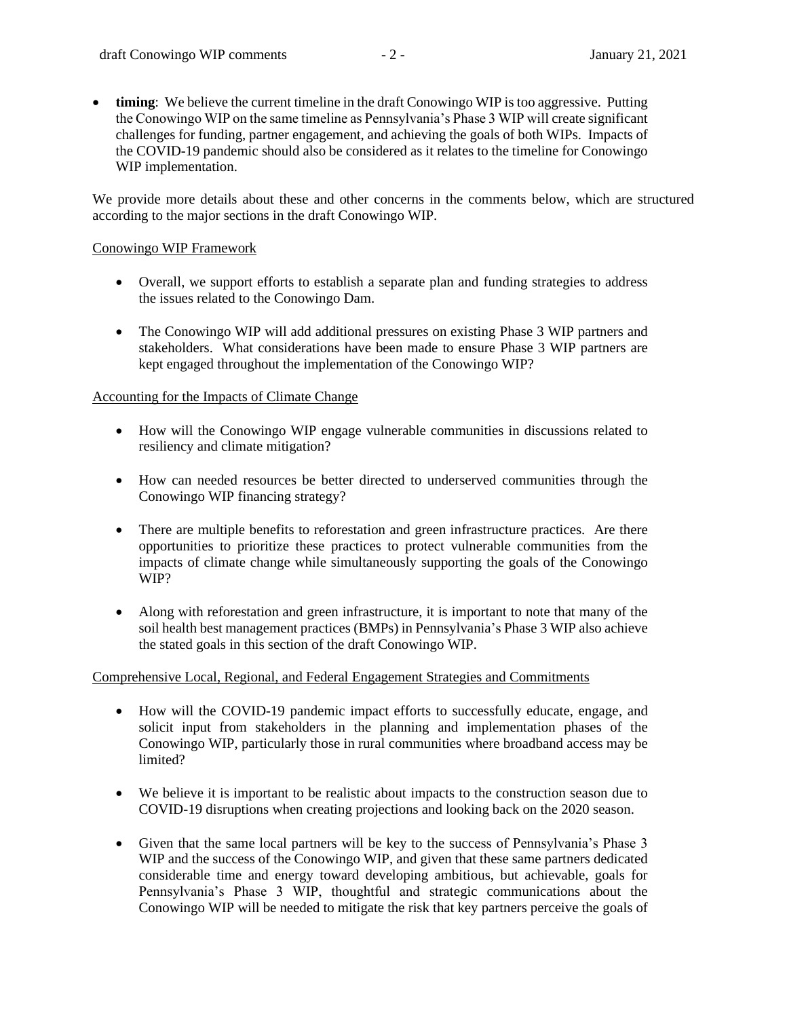**timing**: We believe the current timeline in the draft Conowingo WIP is too aggressive. Putting the Conowingo WIP on the same timeline as Pennsylvania's Phase 3 WIP will create significant challenges for funding, partner engagement, and achieving the goals of both WIPs. Impacts of the COVID-19 pandemic should also be considered as it relates to the timeline for Conowingo WIP implementation.

We provide more details about these and other concerns in the comments below, which are structured according to the major sections in the draft Conowingo WIP.

#### Conowingo WIP Framework

- Overall, we support efforts to establish a separate plan and funding strategies to address the issues related to the Conowingo Dam.
- The Conowingo WIP will add additional pressures on existing Phase 3 WIP partners and stakeholders. What considerations have been made to ensure Phase 3 WIP partners are kept engaged throughout the implementation of the Conowingo WIP?

#### Accounting for the Impacts of Climate Change

- How will the Conowingo WIP engage vulnerable communities in discussions related to resiliency and climate mitigation?
- How can needed resources be better directed to underserved communities through the Conowingo WIP financing strategy?
- There are multiple benefits to reforestation and green infrastructure practices. Are there opportunities to prioritize these practices to protect vulnerable communities from the impacts of climate change while simultaneously supporting the goals of the Conowingo WIP?
- Along with reforestation and green infrastructure, it is important to note that many of the soil health best management practices (BMPs) in Pennsylvania's Phase 3 WIP also achieve the stated goals in this section of the draft Conowingo WIP.

## Comprehensive Local, Regional, and Federal Engagement Strategies and Commitments

- How will the COVID-19 pandemic impact efforts to successfully educate, engage, and solicit input from stakeholders in the planning and implementation phases of the Conowingo WIP, particularly those in rural communities where broadband access may be limited?
- We believe it is important to be realistic about impacts to the construction season due to COVID-19 disruptions when creating projections and looking back on the 2020 season.
- Given that the same local partners will be key to the success of Pennsylvania's Phase 3 WIP and the success of the Conowingo WIP, and given that these same partners dedicated considerable time and energy toward developing ambitious, but achievable, goals for Pennsylvania's Phase 3 WIP, thoughtful and strategic communications about the Conowingo WIP will be needed to mitigate the risk that key partners perceive the goals of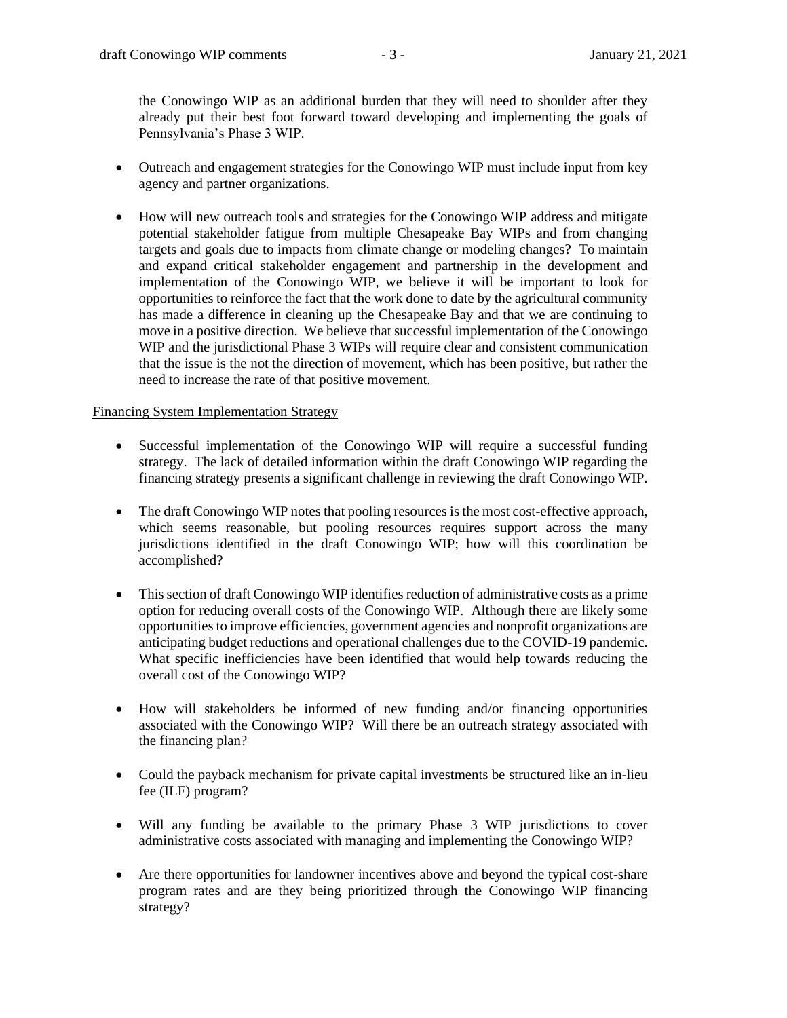the Conowingo WIP as an additional burden that they will need to shoulder after they already put their best foot forward toward developing and implementing the goals of Pennsylvania's Phase 3 WIP.

- Outreach and engagement strategies for the Conowingo WIP must include input from key agency and partner organizations.
- How will new outreach tools and strategies for the Conowingo WIP address and mitigate potential stakeholder fatigue from multiple Chesapeake Bay WIPs and from changing targets and goals due to impacts from climate change or modeling changes? To maintain and expand critical stakeholder engagement and partnership in the development and implementation of the Conowingo WIP, we believe it will be important to look for opportunities to reinforce the fact that the work done to date by the agricultural community has made a difference in cleaning up the Chesapeake Bay and that we are continuing to move in a positive direction. We believe that successful implementation of the Conowingo WIP and the jurisdictional Phase 3 WIPs will require clear and consistent communication that the issue is the not the direction of movement, which has been positive, but rather the need to increase the rate of that positive movement.

## Financing System Implementation Strategy

- Successful implementation of the Conowingo WIP will require a successful funding strategy. The lack of detailed information within the draft Conowingo WIP regarding the financing strategy presents a significant challenge in reviewing the draft Conowingo WIP.
- The draft Conowingo WIP notes that pooling resources is the most cost-effective approach, which seems reasonable, but pooling resources requires support across the many jurisdictions identified in the draft Conowingo WIP; how will this coordination be accomplished?
- This section of draft Conowingo WIP identifies reduction of administrative costs as a prime option for reducing overall costs of the Conowingo WIP. Although there are likely some opportunities to improve efficiencies, government agencies and nonprofit organizations are anticipating budget reductions and operational challenges due to the COVID-19 pandemic. What specific inefficiencies have been identified that would help towards reducing the overall cost of the Conowingo WIP?
- How will stakeholders be informed of new funding and/or financing opportunities associated with the Conowingo WIP? Will there be an outreach strategy associated with the financing plan?
- Could the payback mechanism for private capital investments be structured like an in-lieu fee (ILF) program?
- Will any funding be available to the primary Phase 3 WIP jurisdictions to cover administrative costs associated with managing and implementing the Conowingo WIP?
- Are there opportunities for landowner incentives above and beyond the typical cost-share program rates and are they being prioritized through the Conowingo WIP financing strategy?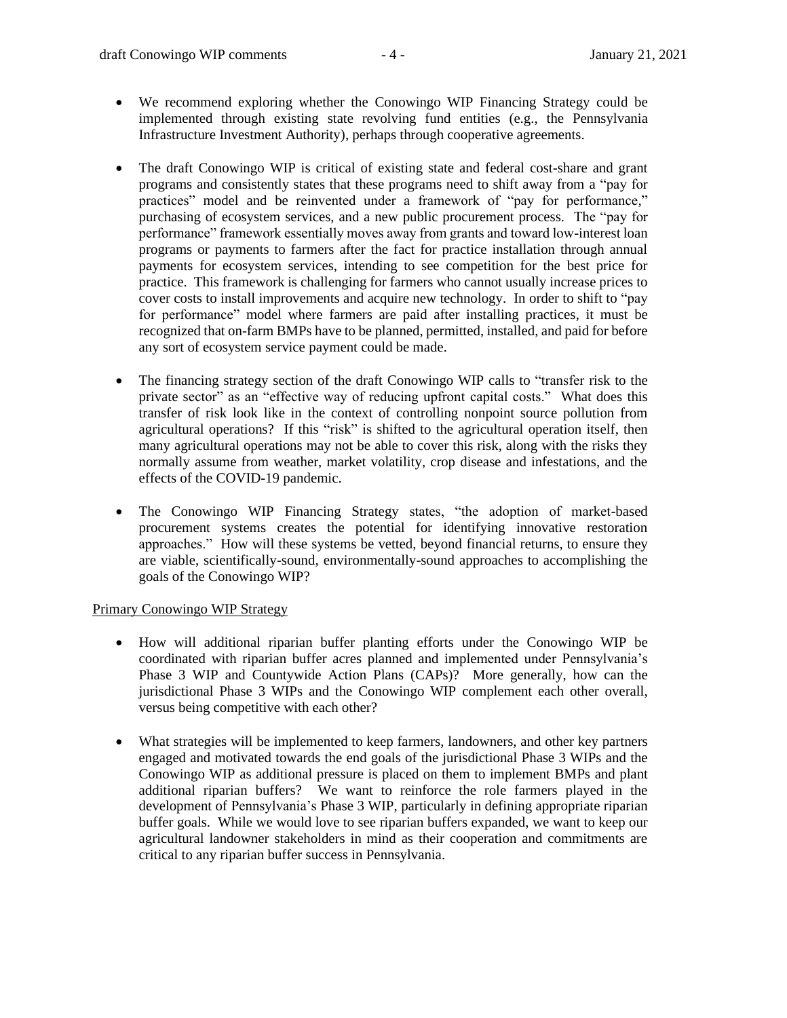- We recommend exploring whether the Conowingo WIP Financing Strategy could be implemented through existing state revolving fund entities (e.g., the Pennsylvania Infrastructure Investment Authority), perhaps through cooperative agreements.
- The draft Conowingo WIP is critical of existing state and federal cost-share and grant programs and consistently states that these programs need to shift away from a "pay for practices" model and be reinvented under a framework of "pay for performance," purchasing of ecosystem services, and a new public procurement process. The "pay for performance" framework essentially moves away from grants and toward low-interest loan programs or payments to farmers after the fact for practice installation through annual payments for ecosystem services, intending to see competition for the best price for practice. This framework is challenging for farmers who cannot usually increase prices to cover costs to install improvements and acquire new technology. In order to shift to "pay for performance" model where farmers are paid after installing practices, it must be recognized that on-farm BMPs have to be planned, permitted, installed, and paid for before any sort of ecosystem service payment could be made.
- The financing strategy section of the draft Conowingo WIP calls to "transfer risk to the private sector" as an "effective way of reducing upfront capital costs." What does this transfer of risk look like in the context of controlling nonpoint source pollution from agricultural operations? If this "risk" is shifted to the agricultural operation itself, then many agricultural operations may not be able to cover this risk, along with the risks they normally assume from weather, market volatility, crop disease and infestations, and the effects of the COVID-19 pandemic.
- The Conowingo WIP Financing Strategy states, "the adoption of market-based procurement systems creates the potential for identifying innovative restoration approaches." How will these systems be vetted, beyond financial returns, to ensure they are viable, scientifically-sound, environmentally-sound approaches to accomplishing the goals of the Conowingo WIP?

## Primary Conowingo WIP Strategy

- How will additional riparian buffer planting efforts under the Conowingo WIP be coordinated with riparian buffer acres planned and implemented under Pennsylvania's Phase 3 WIP and Countywide Action Plans (CAPs)? More generally, how can the jurisdictional Phase 3 WIPs and the Conowingo WIP complement each other overall, versus being competitive with each other?
- What strategies will be implemented to keep farmers, landowners, and other key partners engaged and motivated towards the end goals of the jurisdictional Phase 3 WIPs and the Conowingo WIP as additional pressure is placed on them to implement BMPs and plant additional riparian buffers? We want to reinforce the role farmers played in the development of Pennsylvania's Phase 3 WIP, particularly in defining appropriate riparian buffer goals. While we would love to see riparian buffers expanded, we want to keep our agricultural landowner stakeholders in mind as their cooperation and commitments are critical to any riparian buffer success in Pennsylvania.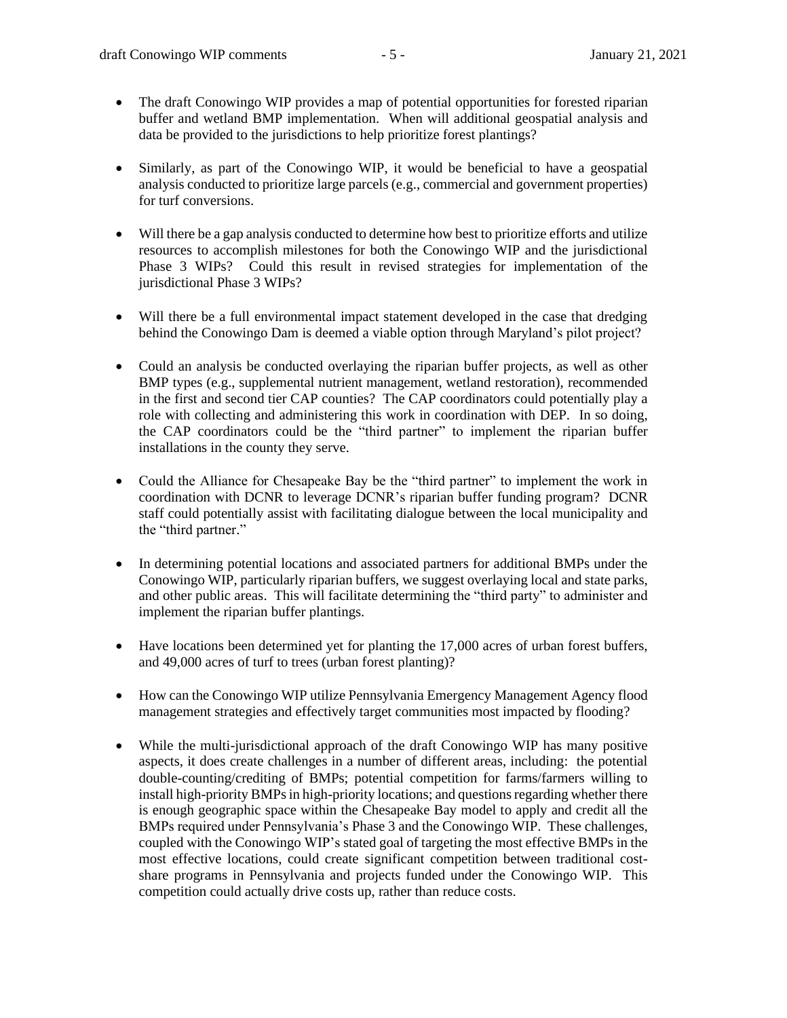- The draft Conowingo WIP provides a map of potential opportunities for forested riparian buffer and wetland BMP implementation. When will additional geospatial analysis and data be provided to the jurisdictions to help prioritize forest plantings?
- Similarly, as part of the Conowingo WIP, it would be beneficial to have a geospatial analysis conducted to prioritize large parcels (e.g., commercial and government properties) for turf conversions.
- Will there be a gap analysis conducted to determine how best to prioritize efforts and utilize resources to accomplish milestones for both the Conowingo WIP and the jurisdictional Phase 3 WIPs? Could this result in revised strategies for implementation of the jurisdictional Phase 3 WIPs?
- Will there be a full environmental impact statement developed in the case that dredging behind the Conowingo Dam is deemed a viable option through Maryland's pilot project?
- Could an analysis be conducted overlaying the riparian buffer projects, as well as other BMP types (e.g., supplemental nutrient management, wetland restoration), recommended in the first and second tier CAP counties? The CAP coordinators could potentially play a role with collecting and administering this work in coordination with DEP. In so doing, the CAP coordinators could be the "third partner" to implement the riparian buffer installations in the county they serve.
- Could the Alliance for Chesapeake Bay be the "third partner" to implement the work in coordination with DCNR to leverage DCNR's riparian buffer funding program? DCNR staff could potentially assist with facilitating dialogue between the local municipality and the "third partner."
- In determining potential locations and associated partners for additional BMPs under the Conowingo WIP, particularly riparian buffers, we suggest overlaying local and state parks, and other public areas. This will facilitate determining the "third party" to administer and implement the riparian buffer plantings.
- Have locations been determined yet for planting the 17,000 acres of urban forest buffers, and 49,000 acres of turf to trees (urban forest planting)?
- How can the Conowingo WIP utilize Pennsylvania Emergency Management Agency flood management strategies and effectively target communities most impacted by flooding?
- While the multi-jurisdictional approach of the draft Conowingo WIP has many positive aspects, it does create challenges in a number of different areas, including: the potential double-counting/crediting of BMPs; potential competition for farms/farmers willing to install high-priority BMPs in high-priority locations; and questions regarding whether there is enough geographic space within the Chesapeake Bay model to apply and credit all the BMPs required under Pennsylvania's Phase 3 and the Conowingo WIP. These challenges, coupled with the Conowingo WIP's stated goal of targeting the most effective BMPs in the most effective locations, could create significant competition between traditional costshare programs in Pennsylvania and projects funded under the Conowingo WIP. This competition could actually drive costs up, rather than reduce costs.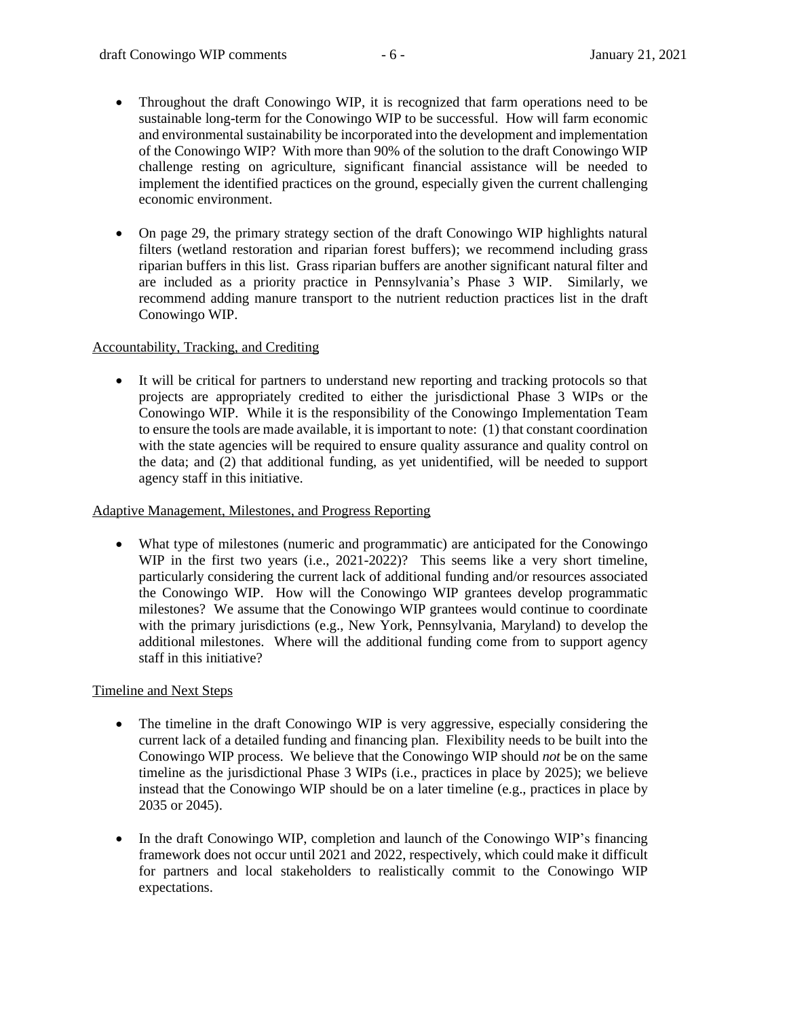- Throughout the draft Conowingo WIP, it is recognized that farm operations need to be sustainable long-term for the Conowingo WIP to be successful. How will farm economic and environmental sustainability be incorporated into the development and implementation of the Conowingo WIP? With more than 90% of the solution to the draft Conowingo WIP challenge resting on agriculture, significant financial assistance will be needed to implement the identified practices on the ground, especially given the current challenging economic environment.
- On page 29, the primary strategy section of the draft Conowingo WIP highlights natural filters (wetland restoration and riparian forest buffers); we recommend including grass riparian buffers in this list. Grass riparian buffers are another significant natural filter and are included as a priority practice in Pennsylvania's Phase 3 WIP. Similarly, we recommend adding manure transport to the nutrient reduction practices list in the draft Conowingo WIP.

# Accountability, Tracking, and Crediting

It will be critical for partners to understand new reporting and tracking protocols so that projects are appropriately credited to either the jurisdictional Phase 3 WIPs or the Conowingo WIP. While it is the responsibility of the Conowingo Implementation Team to ensure the tools are made available, it is important to note: (1) that constant coordination with the state agencies will be required to ensure quality assurance and quality control on the data; and (2) that additional funding, as yet unidentified, will be needed to support agency staff in this initiative.

## Adaptive Management, Milestones, and Progress Reporting

• What type of milestones (numeric and programmatic) are anticipated for the Conowingo WIP in the first two years (i.e., 2021-2022)? This seems like a very short timeline, particularly considering the current lack of additional funding and/or resources associated the Conowingo WIP. How will the Conowingo WIP grantees develop programmatic milestones? We assume that the Conowingo WIP grantees would continue to coordinate with the primary jurisdictions (e.g., New York, Pennsylvania, Maryland) to develop the additional milestones. Where will the additional funding come from to support agency staff in this initiative?

## Timeline and Next Steps

- The timeline in the draft Conowingo WIP is very aggressive, especially considering the current lack of a detailed funding and financing plan. Flexibility needs to be built into the Conowingo WIP process. We believe that the Conowingo WIP should *not* be on the same timeline as the jurisdictional Phase 3 WIPs (i.e., practices in place by 2025); we believe instead that the Conowingo WIP should be on a later timeline (e.g., practices in place by 2035 or 2045).
- In the draft Conowingo WIP, completion and launch of the Conowingo WIP's financing framework does not occur until 2021 and 2022, respectively, which could make it difficult for partners and local stakeholders to realistically commit to the Conowingo WIP expectations.